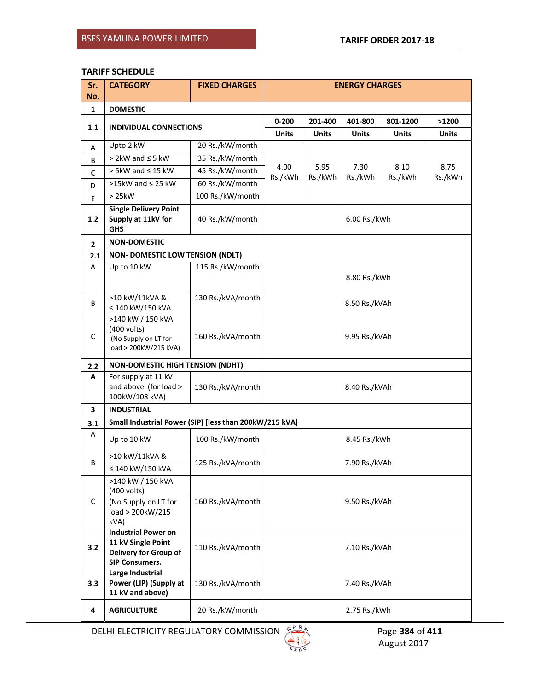# **TARIFF SCHEDULE**

| Sr. | <b>CATEGORY</b>                                                                                    | <b>FIXED CHARGES</b> | <b>ENERGY CHARGES</b> |                            |                 |                 |                 |
|-----|----------------------------------------------------------------------------------------------------|----------------------|-----------------------|----------------------------|-----------------|-----------------|-----------------|
| No. |                                                                                                    |                      |                       |                            |                 |                 |                 |
| 1   | <b>DOMESTIC</b>                                                                                    |                      | $0 - 200$             | 201-400                    | 401-800         | 801-1200        | >1200           |
| 1.1 | <b>INDIVIDUAL CONNECTIONS</b>                                                                      |                      | <b>Units</b>          | <b>Units</b>               | <b>Units</b>    | <b>Units</b>    | <b>Units</b>    |
| А   | Upto 2 kW                                                                                          | 20 Rs./kW/month      |                       |                            |                 |                 |                 |
| В   | $> 2$ kW and $\leq 5$ kW                                                                           | 35 Rs./kW/month      |                       |                            |                 |                 |                 |
| C   | $> 5$ kW and $\leq 15$ kW                                                                          | 45 Rs./kW/month      | 4.00                  | 5.95<br>Rs./kWh<br>Rs./kWh | 7.30<br>Rs./kWh | 8.10<br>Rs./kWh | 8.75<br>Rs./kWh |
| D   | >15kW and $\leq$ 25 kW                                                                             | 60 Rs./kW/month      |                       |                            |                 |                 |                 |
| E   | >25kW                                                                                              | 100 Rs./kW/month     |                       |                            |                 |                 |                 |
| 1.2 | <b>Single Delivery Point</b><br>Supply at 11kV for<br><b>GHS</b>                                   | 40 Rs./kW/month      | 6.00 Rs./kWh          |                            |                 |                 |                 |
| 2   | <b>NON-DOMESTIC</b>                                                                                |                      |                       |                            |                 |                 |                 |
| 2.1 | <b>NON- DOMESTIC LOW TENSION (NDLT)</b>                                                            |                      |                       |                            |                 |                 |                 |
| А   | Up to 10 kW                                                                                        | 115 Rs./kW/month     | 8.80 Rs./kWh          |                            |                 |                 |                 |
| B   | >10 kW/11kVA &<br>≤ 140 kW/150 kVA                                                                 | 130 Rs./kVA/month    | 8.50 Rs./kVAh         |                            |                 |                 |                 |
| C   | >140 kW / 150 kVA<br>(400 volts)<br>(No Supply on LT for<br>load > 200kW/215 kVA)                  | 160 Rs./kVA/month    | 9.95 Rs./kVAh         |                            |                 |                 |                 |
| 2.2 | <b>NON-DOMESTIC HIGH TENSION (NDHT)</b>                                                            |                      |                       |                            |                 |                 |                 |
| A   | For supply at 11 kV<br>and above (for load ><br>100kW/108 kVA)                                     | 130 Rs./kVA/month    | 8.40 Rs./kVAh         |                            |                 |                 |                 |
| 3   | <b>INDUSTRIAL</b>                                                                                  |                      |                       |                            |                 |                 |                 |
| 3.1 | Small Industrial Power (SIP) [less than 200kW/215 kVA]                                             |                      |                       |                            |                 |                 |                 |
| А   | Up to 10 kW                                                                                        | 100 Rs./kW/month     | 8.45 Rs./kWh          |                            |                 |                 |                 |
| B   | >10 kW/11kVA &                                                                                     | 125 Rs./kVA/month    | 7.90 Rs./kVAh         |                            |                 |                 |                 |
|     | ≤ 140 kW/150 kVA                                                                                   |                      |                       |                            |                 |                 |                 |
| C   | >140 kW / 150 kVA<br>(400 volts)                                                                   |                      | 9.50 Rs./kVAh         |                            |                 |                 |                 |
|     | (No Supply on LT for<br>load > 200kW/215<br>kVA)                                                   | 160 Rs./kVA/month    |                       |                            |                 |                 |                 |
| 3.2 | <b>Industrial Power on</b><br>11 kV Single Point<br>Delivery for Group of<br><b>SIP Consumers.</b> | 110 Rs./kVA/month    | 7.10 Rs./kVAh         |                            |                 |                 |                 |
| 3.3 | Large Industrial<br>Power (LIP) (Supply at<br>11 kV and above)                                     | 130 Rs./kVA/month    | 7.40 Rs./kVAh         |                            |                 |                 |                 |
| 4   | <b>AGRICULTURE</b>                                                                                 | 20 Rs./kW/month      | 2.75 Rs./kWh          |                            |                 |                 |                 |

DELHI ELECTRICITY REGULATORY COMMISSION **Page 384** of **411 Page 384** of **411** 

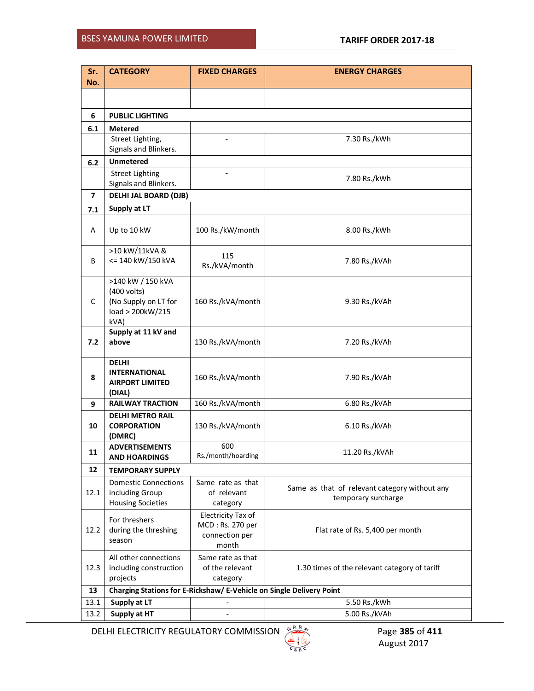# BSES YAMUNA POWER LIMITED **TARIFF ORDER 2017-18**

| Sr.<br>No.              | <b>CATEGORY</b>                                                                      | <b>FIXED CHARGES</b>                                                     | <b>ENERGY CHARGES</b>                                                |  |  |  |  |  |
|-------------------------|--------------------------------------------------------------------------------------|--------------------------------------------------------------------------|----------------------------------------------------------------------|--|--|--|--|--|
|                         |                                                                                      |                                                                          |                                                                      |  |  |  |  |  |
| 6                       | <b>PUBLIC LIGHTING</b>                                                               |                                                                          |                                                                      |  |  |  |  |  |
| 6.1                     | <b>Metered</b>                                                                       |                                                                          |                                                                      |  |  |  |  |  |
|                         | Street Lighting,<br>Signals and Blinkers.                                            |                                                                          | 7.30 Rs./kWh                                                         |  |  |  |  |  |
| 6.2                     | <b>Unmetered</b>                                                                     |                                                                          |                                                                      |  |  |  |  |  |
|                         | <b>Street Lighting</b><br>Signals and Blinkers.                                      |                                                                          | 7.80 Rs./kWh                                                         |  |  |  |  |  |
| $\overline{\mathbf{z}}$ | <b>DELHI JAL BOARD (DJB)</b>                                                         |                                                                          |                                                                      |  |  |  |  |  |
| 7.1                     | Supply at LT                                                                         |                                                                          |                                                                      |  |  |  |  |  |
| А                       | Up to 10 kW                                                                          | 100 Rs./kW/month                                                         | 8.00 Rs./kWh                                                         |  |  |  |  |  |
| B                       | >10 kW/11kVA &<br><= 140 kW/150 kVA                                                  | 115<br>Rs./kVA/month                                                     | 7.80 Rs./kVAh                                                        |  |  |  |  |  |
| $\mathsf{C}$            | >140 kW / 150 kVA<br>(400 volts)<br>(No Supply on LT for<br>load > 200kW/215<br>kVA) | 160 Rs./kVA/month                                                        | 9.30 Rs./kVAh                                                        |  |  |  |  |  |
| 7.2                     | Supply at 11 kV and<br>above                                                         | 130 Rs./kVA/month                                                        | 7.20 Rs./kVAh                                                        |  |  |  |  |  |
| 8                       | <b>DELHI</b><br><b>INTERNATIONAL</b><br><b>AIRPORT LIMITED</b><br>(DIAL)             | 160 Rs./kVA/month                                                        | 7.90 Rs./kVAh                                                        |  |  |  |  |  |
| 9                       | <b>RAILWAY TRACTION</b>                                                              | 160 Rs./kVA/month                                                        | 6.80 Rs./kVAh                                                        |  |  |  |  |  |
| 10                      | <b>DELHI METRO RAIL</b><br><b>CORPORATION</b><br>(DMRC)                              | 130 Rs./kVA/month                                                        | 6.10 Rs./kVAh                                                        |  |  |  |  |  |
| 11                      | <b>ADVERTISEMENTS</b><br><b>AND HOARDINGS</b>                                        | 600<br>Rs./month/hoarding                                                | 11.20 Rs./kVAh                                                       |  |  |  |  |  |
| 12                      | <b>TEMPORARY SUPPLY</b>                                                              |                                                                          |                                                                      |  |  |  |  |  |
| 12.1                    | <b>Domestic Connections</b><br>including Group<br><b>Housing Societies</b>           | Same rate as that<br>of relevant<br>category                             | Same as that of relevant category without any<br>temporary surcharge |  |  |  |  |  |
| 12.2                    | For threshers<br>during the threshing<br>season                                      | <b>Electricity Tax of</b><br>MCD: Rs. 270 per<br>connection per<br>month | Flat rate of Rs. 5,400 per month                                     |  |  |  |  |  |
| 12.3                    | All other connections<br>including construction<br>projects                          | Same rate as that<br>of the relevant<br>category                         | 1.30 times of the relevant category of tariff                        |  |  |  |  |  |
| 13                      | Charging Stations for E-Rickshaw/ E-Vehicle on Single Delivery Point                 |                                                                          |                                                                      |  |  |  |  |  |
| 13.1                    | Supply at LT                                                                         | $\qquad \qquad \blacksquare$                                             | 5.50 Rs./kWh                                                         |  |  |  |  |  |
| 13.2                    | Supply at HT                                                                         | $\frac{1}{2}$                                                            | 5.00 Rs./kVAh                                                        |  |  |  |  |  |

DELHI ELECTRICITY REGULATORY COMMISSION **Page 385** of **411 Page 385** of **411** 

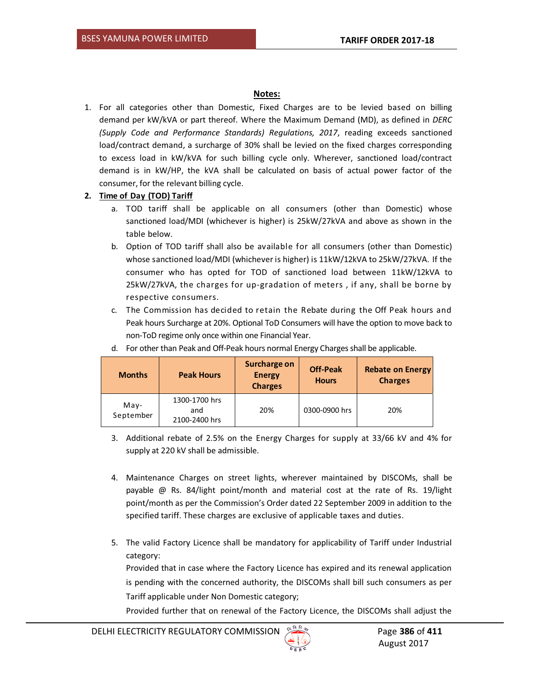# **Notes:**

1. For all categories other than Domestic, Fixed Charges are to be levied based on billing demand per kW/kVA or part thereof. Where the Maximum Demand (MD), as defined in *DERC (Supply Code and Performance Standards) Regulations, 2017*, reading exceeds sanctioned load/contract demand, a surcharge of 30% shall be levied on the fixed charges corresponding to excess load in kW/kVA for such billing cycle only. Wherever, sanctioned load/contract demand is in kW/HP, the kVA shall be calculated on basis of actual power factor of the consumer, for the relevant billing cycle.

# **2. Time of Day (TOD) Tariff**

- a. TOD tariff shall be applicable on all consumers (other than Domestic) whose sanctioned load/MDI (whichever is higher) is 25kW/27kVA and above as shown in the table below.
- b. Option of TOD tariff shall also be available for all consumers (other than Domestic) whose sanctioned load/MDI (whichever is higher) is 11kW/12kVA to 25kW/27kVA. If the consumer who has opted for TOD of sanctioned load between 11kW/12kVA to 25kW/27kVA, the charges for up-gradation of meters , if any, shall be borne by respective consumers.
- c. The Commission has decided to retain the Rebate during the Off Peak hours and Peak hours Surcharge at 20%. Optional ToD Consumers will have the option to move back to non-ToD regime only once within one Financial Year.

| <b>Months</b>     | <b>Peak Hours</b>                     | Surcharge on<br><b>Energy</b><br><b>Charges</b> | <b>Off-Peak</b><br><b>Hours</b> | <b>Rebate on Energy</b><br><b>Charges</b> |
|-------------------|---------------------------------------|-------------------------------------------------|---------------------------------|-------------------------------------------|
| May-<br>September | 1300-1700 hrs<br>and<br>2100-2400 hrs | 20%                                             | 0300-0900 hrs                   | 20%                                       |

d. For other than Peak and Off-Peak hours normal Energy Charges shall be applicable.

- 3. Additional rebate of 2.5% on the Energy Charges for supply at 33/66 kV and 4% for supply at 220 kV shall be admissible.
- 4. Maintenance Charges on street lights, wherever maintained by DISCOMs, shall be payable @ Rs. 84/light point/month and material cost at the rate of Rs. 19/light point/month as per the Commission's Order dated 22 September 2009 in addition to the specified tariff. These charges are exclusive of applicable taxes and duties.
- 5. The valid Factory Licence shall be mandatory for applicability of Tariff under Industrial category:

Provided that in case where the Factory Licence has expired and its renewal application is pending with the concerned authority, the DISCOMs shall bill such consumers as per Tariff applicable under Non Domestic category;

Provided further that on renewal of the Factory Licence, the DISCOMs shall adjust the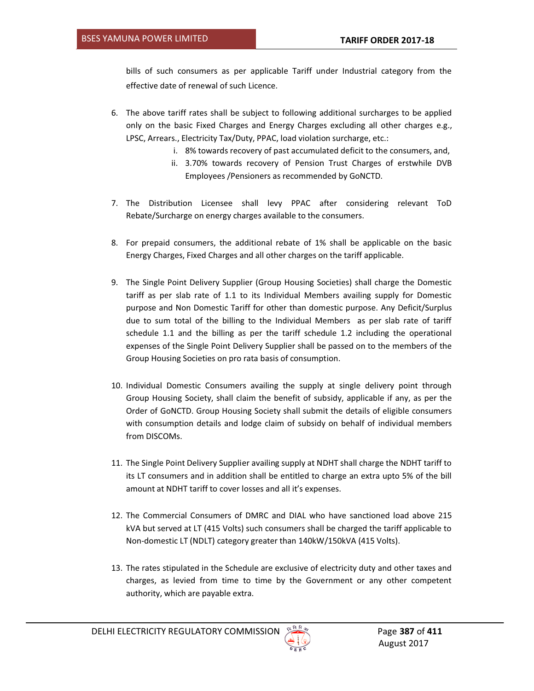bills of such consumers as per applicable Tariff under Industrial category from the effective date of renewal of such Licence.

- 6. The above tariff rates shall be subject to following additional surcharges to be applied only on the basic Fixed Charges and Energy Charges excluding all other charges e.g., LPSC, Arrears., Electricity Tax/Duty, PPAC, load violation surcharge, etc.:
	- i. 8% towards recovery of past accumulated deficit to the consumers, and,
	- ii. 3.70% towards recovery of Pension Trust Charges of erstwhile DVB Employees /Pensioners as recommended by GoNCTD.
- 7. The Distribution Licensee shall levy PPAC after considering relevant ToD Rebate/Surcharge on energy charges available to the consumers.
- 8. For prepaid consumers, the additional rebate of 1% shall be applicable on the basic Energy Charges, Fixed Charges and all other charges on the tariff applicable.
- 9. The Single Point Delivery Supplier (Group Housing Societies) shall charge the Domestic tariff as per slab rate of 1.1 to its Individual Members availing supply for Domestic purpose and Non Domestic Tariff for other than domestic purpose. Any Deficit/Surplus due to sum total of the billing to the Individual Members as per slab rate of tariff schedule 1.1 and the billing as per the tariff schedule 1.2 including the operational expenses of the Single Point Delivery Supplier shall be passed on to the members of the Group Housing Societies on pro rata basis of consumption.
- 10. Individual Domestic Consumers availing the supply at single delivery point through Group Housing Society, shall claim the benefit of subsidy, applicable if any, as per the Order of GoNCTD. Group Housing Society shall submit the details of eligible consumers with consumption details and lodge claim of subsidy on behalf of individual members from DISCOMs.
- 11. The Single Point Delivery Supplier availing supply at NDHT shall charge the NDHT tariff to its LT consumers and in addition shall be entitled to charge an extra upto 5% of the bill amount at NDHT tariff to cover losses and all it's expenses.
- 12. The Commercial Consumers of DMRC and DIAL who have sanctioned load above 215 kVA but served at LT (415 Volts) such consumers shall be charged the tariff applicable to Non-domestic LT (NDLT) category greater than 140kW/150kVA (415 Volts).
- 13. The rates stipulated in the Schedule are exclusive of electricity duty and other taxes and charges, as levied from time to time by the Government or any other competent authority, which are payable extra.

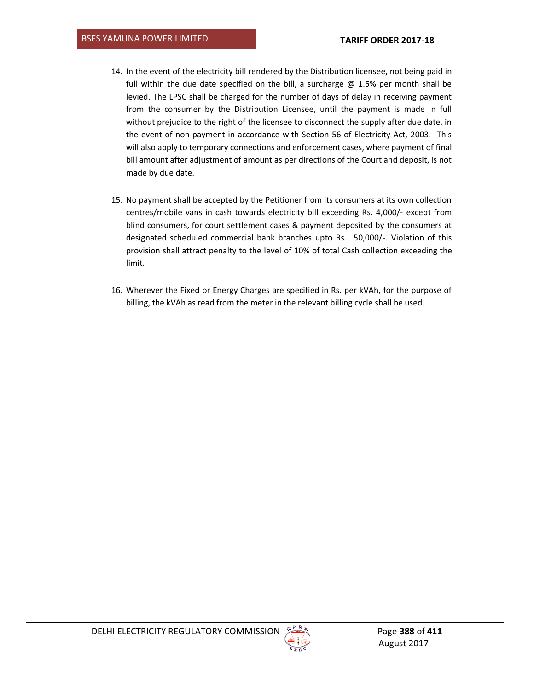- 14. In the event of the electricity bill rendered by the Distribution licensee, not being paid in full within the due date specified on the bill, a surcharge  $\omega$  1.5% per month shall be levied. The LPSC shall be charged for the number of days of delay in receiving payment from the consumer by the Distribution Licensee, until the payment is made in full without prejudice to the right of the licensee to disconnect the supply after due date, in the event of non-payment in accordance with Section 56 of Electricity Act, 2003. This will also apply to temporary connections and enforcement cases, where payment of final bill amount after adjustment of amount as per directions of the Court and deposit, is not made by due date.
- 15. No payment shall be accepted by the Petitioner from its consumers at its own collection centres/mobile vans in cash towards electricity bill exceeding Rs. 4,000/- except from blind consumers, for court settlement cases & payment deposited by the consumers at designated scheduled commercial bank branches upto Rs. 50,000/-. Violation of this provision shall attract penalty to the level of 10% of total Cash collection exceeding the limit.
- 16. Wherever the Fixed or Energy Charges are specified in Rs. per kVAh, for the purpose of billing, the kVAh as read from the meter in the relevant billing cycle shall be used.

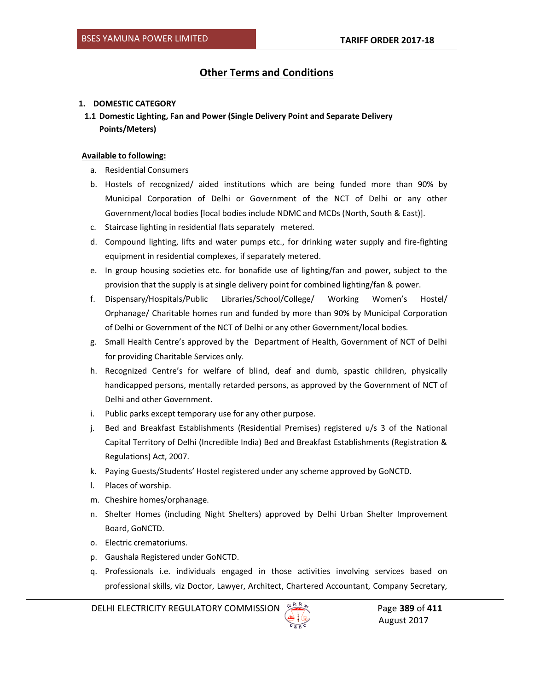# **Other Terms and Conditions**

## **1. DOMESTIC CATEGORY**

**1.1 Domestic Lighting, Fan and Power (Single Delivery Point and Separate Delivery Points/Meters)** 

# **Available to following:**

- a. Residential Consumers
- b. Hostels of recognized/ aided institutions which are being funded more than 90% by Municipal Corporation of Delhi or Government of the NCT of Delhi or any other Government/local bodies [local bodies include NDMC and MCDs (North, South & East)].
- c. Staircase lighting in residential flats separately metered.
- d. Compound lighting, lifts and water pumps etc., for drinking water supply and fire-fighting equipment in residential complexes, if separately metered.
- e. In group housing societies etc. for bonafide use of lighting/fan and power, subject to the provision that the supply is at single delivery point for combined lighting/fan & power.
- f. Dispensary/Hospitals/Public Libraries/School/College/ Working Women's Hostel/ Orphanage/ Charitable homes run and funded by more than 90% by Municipal Corporation of Delhi or Government of the NCT of Delhi or any other Government/local bodies.
- g. Small Health Centre's approved by the Department of Health, Government of NCT of Delhi for providing Charitable Services only.
- h. Recognized Centre's for welfare of blind, deaf and dumb, spastic children, physically handicapped persons, mentally retarded persons, as approved by the Government of NCT of Delhi and other Government.
- i. Public parks except temporary use for any other purpose.
- j. Bed and Breakfast Establishments (Residential Premises) registered u/s 3 of the National Capital Territory of Delhi (Incredible India) Bed and Breakfast Establishments (Registration & Regulations) Act, 2007.
- k. Paying Guests/Students' Hostel registered under any scheme approved by GoNCTD.
- l. Places of worship.
- m. Cheshire homes/orphanage.
- n. Shelter Homes (including Night Shelters) approved by Delhi Urban Shelter Improvement Board, GoNCTD.
- o. Electric crematoriums.
- p. Gaushala Registered under GoNCTD.
- q. Professionals i.e. individuals engaged in those activities involving services based on professional skills, viz Doctor, Lawyer, Architect, Chartered Accountant, Company Secretary,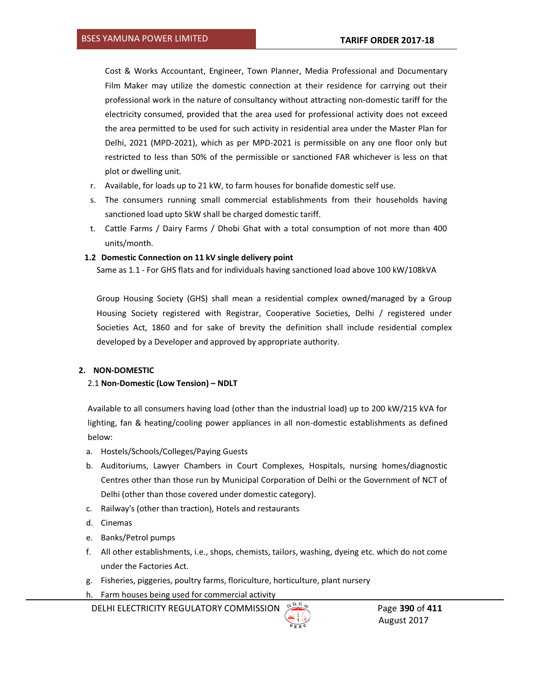Cost & Works Accountant, Engineer, Town Planner, Media Professional and Documentary Film Maker may utilize the domestic connection at their residence for carrying out their professional work in the nature of consultancy without attracting non-domestic tariff for the electricity consumed, provided that the area used for professional activity does not exceed the area permitted to be used for such activity in residential area under the Master Plan for Delhi, 2021 (MPD-2021), which as per MPD-2021 is permissible on any one floor only but restricted to less than 50% of the permissible or sanctioned FAR whichever is less on that plot or dwelling unit.

- r. Available, for loads up to 21 kW, to farm houses for bonafide domestic self use.
- s. The consumers running small commercial establishments from their households having sanctioned load upto 5kW shall be charged domestic tariff.
- t. Cattle Farms / Dairy Farms / Dhobi Ghat with a total consumption of not more than 400 units/month.

### **1.2 Domestic Connection on 11 kV single delivery point**

Same as 1.1 - For GHS flats and for individuals having sanctioned load above 100 kW/108kVA

Group Housing Society (GHS) shall mean a residential complex owned/managed by a Group Housing Society registered with Registrar, Cooperative Societies, Delhi / registered under Societies Act, 1860 and for sake of brevity the definition shall include residential complex developed by a Developer and approved by appropriate authority.

#### **2. NON-DOMESTIC**

## 2.1 **Non-Domestic (Low Tension) – NDLT**

Available to all consumers having load (other than the industrial load) up to 200 kW/215 kVA for lighting, fan & heating/cooling power appliances in all non-domestic establishments as defined below:

- a. Hostels/Schools/Colleges/Paying Guests
- b. Auditoriums, Lawyer Chambers in Court Complexes, Hospitals, nursing homes/diagnostic Centres other than those run by Municipal Corporation of Delhi or the Government of NCT of Delhi (other than those covered under domestic category).
- c. Railway's (other than traction), Hotels and restaurants
- d. Cinemas
- e. Banks/Petrol pumps
- f. All other establishments, i.e., shops, chemists, tailors, washing, dyeing etc. which do not come under the Factories Act.
- g. Fisheries, piggeries, poultry farms, floriculture, horticulture, plant nursery
- h. Farm houses being used for commercial activity

**DELHI ELECTRICITY REGULATORY COMMISSION SERVICE PAGE 390 of 411** 

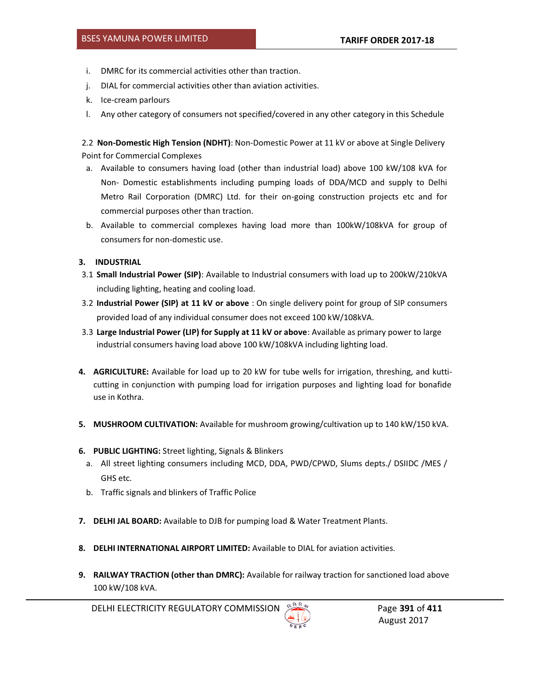- i. DMRC for its commercial activities other than traction.
- j. DIAL for commercial activities other than aviation activities.
- k. Ice-cream parlours
- l. Any other category of consumers not specified/covered in any other category in this Schedule

2.2 **Non-Domestic High Tension (NDHT)**: Non-Domestic Power at 11 kV or above at Single Delivery Point for Commercial Complexes

- a. Available to consumers having load (other than industrial load) above 100 kW/108 kVA for Non- Domestic establishments including pumping loads of DDA/MCD and supply to Delhi Metro Rail Corporation (DMRC) Ltd. for their on-going construction projects etc and for commercial purposes other than traction.
- b. Available to commercial complexes having load more than 100kW/108kVA for group of consumers for non-domestic use.

### **3. INDUSTRIAL**

- 3.1 **Small Industrial Power (SIP)**: Available to Industrial consumers with load up to 200kW/210kVA including lighting, heating and cooling load.
- 3.2 **Industrial Power (SIP) at 11 kV or above** : On single delivery point for group of SIP consumers provided load of any individual consumer does not exceed 100 kW/108kVA.
- 3.3 **Large Industrial Power (LIP) for Supply at 11 kV or above**: Available as primary power to large industrial consumers having load above 100 kW/108kVA including lighting load.
- **4. AGRICULTURE:** Available for load up to 20 kW for tube wells for irrigation, threshing, and kutticutting in conjunction with pumping load for irrigation purposes and lighting load for bonafide use in Kothra.
- **5. MUSHROOM CULTIVATION:** Available for mushroom growing/cultivation up to 140 kW/150 kVA.
- **6. PUBLIC LIGHTING:** Street lighting, Signals & Blinkers
	- a. All street lighting consumers including MCD, DDA, PWD/CPWD, Slums depts./ DSIIDC /MES / GHS etc.
	- b. Traffic signals and blinkers of Traffic Police
- **7. DELHI JAL BOARD:** Available to DJB for pumping load & Water Treatment Plants.
- **8. DELHI INTERNATIONAL AIRPORT LIMITED:** Available to DIAL for aviation activities.
- **9. RAILWAY TRACTION (other than DMRC):** Available for railway traction for sanctioned load above 100 kW/108 kVA.